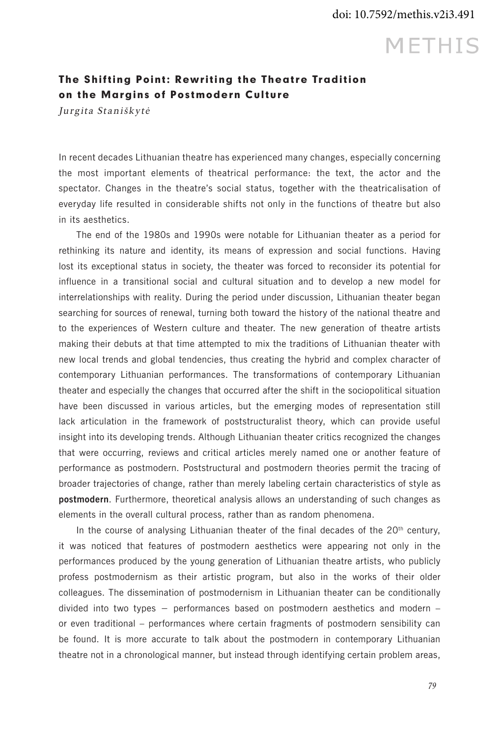## **METHIS**

### The Shifting Point: Rewriting the Theatre Tradition on the Margins of Postmodern Culture

Jurgita Staniškytė

In recent decades Lithuanian theatre has experienced many changes, especially concerning the most important elements of theatrical performance: the text, the actor and the spectator. Changes in the theatre's social status, together with the theatricalisation of everyday life resulted in considerable shifts not only in the functions of theatre but also in its aesthetics.

The end of the 1980s and 1990s were notable for Lithuanian theater as a period for rethinking its nature and identity, its means of expression and social functions. Having lost its exceptional status in society, the theater was forced to reconsider its potential for influence in a transitional social and cultural situation and to develop a new model for interrelationships with reality. During the period under discussion, Lithuanian theater began searching for sources of renewal, turning both toward the history of the national theatre and to the experiences of Western culture and theater. The new generation of theatre artists making their debuts at that time attempted to mix the traditions of Lithuanian theater with new local trends and global tendencies, thus creating the hybrid and complex character of contemporary Lithuanian performances. The transformations of contemporary Lithuanian theater and especially the changes that occurred after the shift in the sociopolitical situation have been discussed in various articles, but the emerging modes of representation still lack articulation in the framework of poststructuralist theory, which can provide useful insight into its developing trends. Although Lithuanian theater critics recognized the changes that were occurring, reviews and critical articles merely named one or another feature of performance as postmodern. Poststructural and postmodern theories permit the tracing of broader trajectories of change, rather than merely labeling certain characteristics of style as **postmodern**. Furthermore, theoretical analysis allows an understanding of such changes as elements in the overall cultural process, rather than as random phenomena.

In the course of analysing Lithuanian theater of the final decades of the  $20<sup>th</sup>$  century, it was noticed that features of postmodern aesthetics were appearing not only in the performances produced by the young generation of Lithuanian theatre artists, who publicly profess postmodernism as their artistic program, but also in the works of their older colleagues. The dissemination of postmodernism in Lithuanian theater can be conditionally divided into two types *−* performances based on postmodern aesthetics and modern – or even traditional – performances where certain fragments of postmodern sensibility can be found. It is more accurate to talk about the postmodern in contemporary Lithuanian theatre not in a chronological manner, but instead through identifying certain problem areas,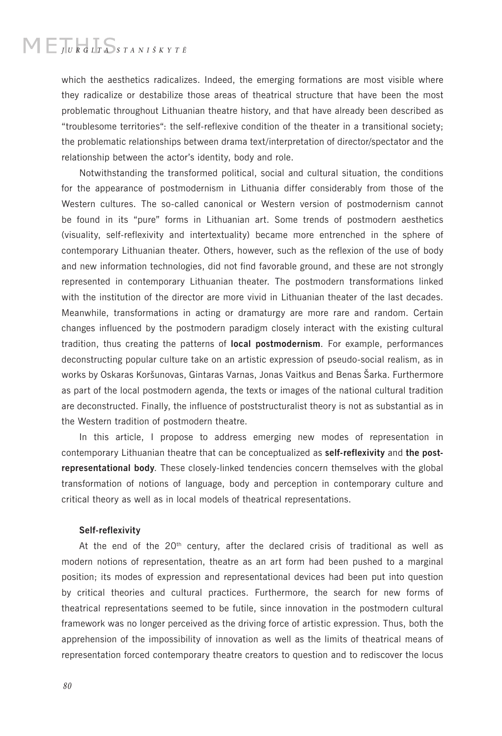### $M \sqsubseteq_{\textit{Iukgilt}} S$ staniškytė

which the aesthetics radicalizes. Indeed, the emerging formations are most visible where they radicalize or destabilize those areas of theatrical structure that have been the most problematic throughout Lithuanian theatre history, and that have already been described as "troublesome territories": the self-reflexive condition of the theater in a transitional society; the problematic relationships between drama text/interpretation of director/spectator and the relationship between the actor's identity, body and role.

Notwithstanding the transformed political, social and cultural situation, the conditions for the appearance of postmodernism in Lithuania differ considerably from those of the Western cultures. The so-called canonical or Western version of postmodernism cannot be found in its "pure" forms in Lithuanian art. Some trends of postmodern aesthetics (visuality, self-reflexivity and intertextuality) became more entrenched in the sphere of contemporary Lithuanian theater. Others, however, such as the reflexion of the use of body and new information technologies, did not find favorable ground, and these are not strongly represented in contemporary Lithuanian theater. The postmodern transformations linked with the institution of the director are more vivid in Lithuanian theater of the last decades. Meanwhile, transformations in acting or dramaturgy are more rare and random. Certain changes influenced by the postmodern paradigm closely interact with the existing cultural tradition, thus creating the patterns of **local postmodernism**. For example, performances deconstructing popular culture take on an artistic expression of pseudo-social realism, as in works by Oskaras Koršunovas, Gintaras Varnas, Jonas Vaitkus and Benas Šarka. Furthermore as part of the local postmodern agenda, the texts or images of the national cultural tradition are deconstructed. Finally, the influence of poststructuralist theory is not as substantial as in the Western tradition of postmodern theatre.

In this article, I propose to address emerging new modes of representation in contemporary Lithuanian theatre that can be conceptualized as **self-reflexivity** and **the postrepresentational body**. These closely-linked tendencies concern themselves with the global transformation of notions of language, body and perception in contemporary culture and critical theory as well as in local models of theatrical representations.

#### **Self-reflexivity**

At the end of the  $20<sup>th</sup>$  century, after the declared crisis of traditional as well as modern notions of representation, theatre as an art form had been pushed to a marginal position; its modes of expression and representational devices had been put into question by critical theories and cultural practices. Furthermore, the search for new forms of theatrical representations seemed to be futile, since innovation in the postmodern cultural framework was no longer perceived as the driving force of artistic expression. Thus, both the apprehension of the impossibility of innovation as well as the limits of theatrical means of representation forced contemporary theatre creators to question and to rediscover the locus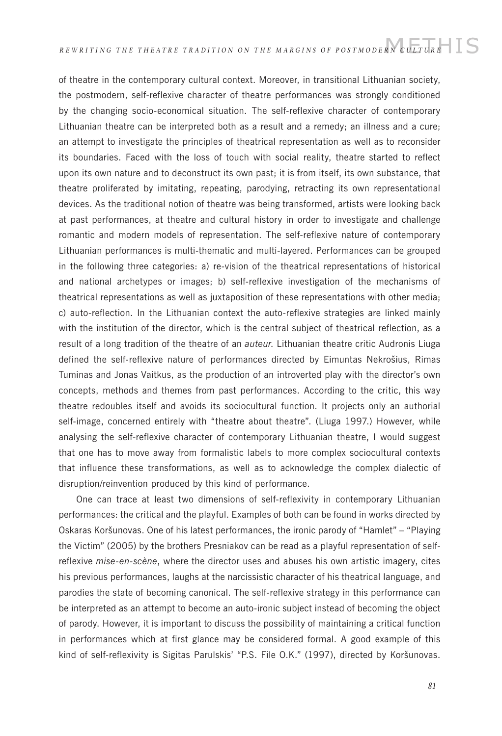of theatre in the contemporary cultural context. Moreover, in transitional Lithuanian society, the postmodern, self-reflexive character of theatre performances was strongly conditioned by the changing socio-economical situation. The self-reflexive character of contemporary Lithuanian theatre can be interpreted both as a result and a remedy; an illness and a cure; an attempt to investigate the principles of theatrical representation as well as to reconsider its boundaries. Faced with the loss of touch with social reality, theatre started to reflect upon its own nature and to deconstruct its own past; it is from itself, its own substance, that theatre proliferated by imitating, repeating, parodying, retracting its own representational devices. As the traditional notion of theatre was being transformed, artists were looking back at past performances, at theatre and cultural history in order to investigate and challenge romantic and modern models of representation. The self-reflexive nature of contemporary Lithuanian performances is multi-thematic and multi-layered. Performances can be grouped in the following three categories: a) re-vision of the theatrical representations of historical and national archetypes or images; b) self-reflexive investigation of the mechanisms of theatrical representations as well as juxtaposition of these representations with other media; c) auto-reflection. In the Lithuanian context the auto-reflexive strategies are linked mainly with the institution of the director, which is the central subject of theatrical reflection, as a result of a long tradition of the theatre of an *auteur*. Lithuanian theatre critic Audronis Liuga defined the self-reflexive nature of performances directed by Eimuntas Nekrošius, Rimas Tuminas and Jonas Vaitkus, as the production of an introverted play with the director's own concepts, methods and themes from past performances. According to the critic, this way theatre redoubles itself and avoids its sociocultural function. It projects only an authorial self-image, concerned entirely with "theatre about theatre". (Liuga 1997.) However, while analysing the self-reflexive character of contemporary Lithuanian theatre, I would suggest that one has to move away from formalistic labels to more complex sociocultural contexts that influence these transformations, as well as to acknowledge the complex dialectic of disruption/reinvention produced by this kind of performance.

One can trace at least two dimensions of self-reflexivity in contemporary Lithuanian performances: the critical and the playful. Examples of both can be found in works directed by Oskaras Koršunovas. One of his latest performances, the ironic parody of "Hamlet" – "Playing the Victim" (2005) by the brothers Presniakov can be read as a playful representation of selfreflexive *mise-en-scène*, where the director uses and abuses his own artistic imagery, cites his previous performances, laughs at the narcissistic character of his theatrical language, and parodies the state of becoming canonical. The self-reflexive strategy in this performance can be interpreted as an attempt to become an auto-ironic subject instead of becoming the object of parody. However, it is important to discuss the possibility of maintaining a critical function in performances which at first glance may be considered formal. A good example of this kind of self-reflexivity is Sigitas Parulskis' "P.S. File O.K." (1997), directed by Koršunovas.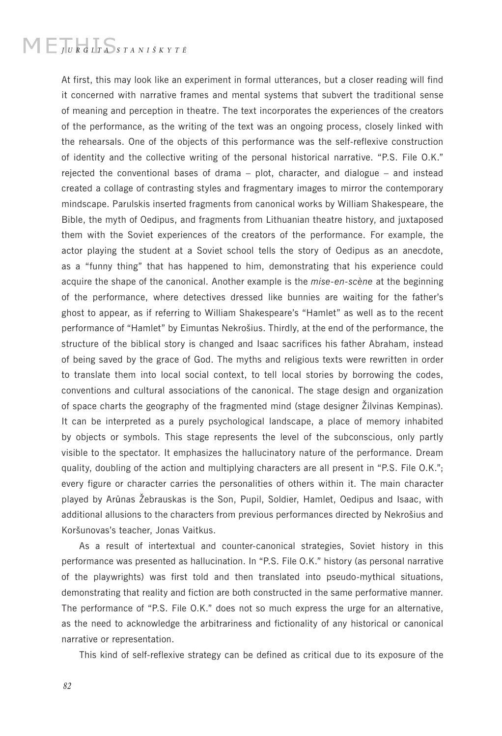### $M \nightharpoonup_{\nu}$ <sub>KGIT</sub> $S$ <sub>STANIŠKYTĖ</sub>

At first, this may look like an experiment in formal utterances, but a closer reading will find it concerned with narrative frames and mental systems that subvert the traditional sense of meaning and perception in theatre. The text incorporates the experiences of the creators of the performance, as the writing of the text was an ongoing process, closely linked with the rehearsals. One of the objects of this performance was the self-reflexive construction of identity and the collective writing of the personal historical narrative. "P.S. File O.K." rejected the conventional bases of drama – plot, character, and dialogue – and instead created a collage of contrasting styles and fragmentary images to mirror the contemporary mindscape. Parulskis inserted fragments from canonical works by William Shakespeare, the Bible, the myth of Oedipus, and fragments from Lithuanian theatre history, and juxtaposed them with the Soviet experiences of the creators of the performance. For example, the actor playing the student at a Soviet school tells the story of Oedipus as an anecdote, as a "funny thing" that has happened to him, demonstrating that his experience could acquire the shape of the canonical. Another example is the *mise-en-scène* at the beginning of the performance, where detectives dressed like bunnies are waiting for the father's ghost to appear, as if referring to William Shakespeare's "Hamlet" as well as to the recent performance of "Hamlet" by Eimuntas Nekrošius. Thirdly, at the end of the performance, the structure of the biblical story is changed and Isaac sacrifices his father Abraham, instead of being saved by the grace of God. The myths and religious texts were rewritten in order to translate them into local social context, to tell local stories by borrowing the codes, conventions and cultural associations of the canonical. The stage design and organization of space charts the geography of the fragmented mind (stage designer Žilvinas Kempinas). It can be interpreted as a purely psychological landscape, a place of memory inhabited by objects or symbols. This stage represents the level of the subconscious, only partly visible to the spectator. It emphasizes the hallucinatory nature of the performance. Dream quality, doubling of the action and multiplying characters are all present in "P.S. File O.K."; every figure or character carries the personalities of others within it. The main character played by Arūnas Žebrauskas is the Son, Pupil, Soldier, Hamlet, Oedipus and Isaac, with additional allusions to the characters from previous performances directed by Nekrošius and Koršunovas's teacher, Jonas Vaitkus.

As a result of intertextual and counter-canonical strategies, Soviet history in this performance was presented as hallucination. In "P.S. File O.K." history (as personal narrative of the playwrights) was first told and then translated into pseudo-mythical situations, demonstrating that reality and fiction are both constructed in the same performative manner. The performance of "P.S. File O.K." does not so much express the urge for an alternative, as the need to acknowledge the arbitrariness and fictionality of any historical or canonical narrative or representation.

This kind of self-reflexive strategy can be defined as critical due to its exposure of the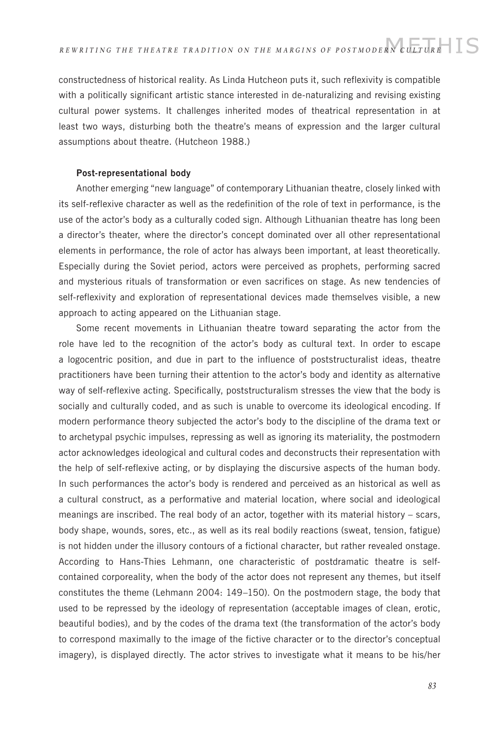constructedness of historical reality. As Linda Hutcheon puts it, such reflexivity is compatible with a politically significant artistic stance interested in de-naturalizing and revising existing cultural power systems. It challenges inherited modes of theatrical representation in at least two ways, disturbing both the theatre's means of expression and the larger cultural assumptions about theatre. (Hutcheon 1988.)

#### **Post-representational body**

Another emerging "new language" of contemporary Lithuanian theatre, closely linked with its self-reflexive character as well as the redefinition of the role of text in performance, is the use of the actor's body as a culturally coded sign. Although Lithuanian theatre has long been a director's theater, where the director's concept dominated over all other representational elements in performance, the role of actor has always been important, at least theoretically. Especially during the Soviet period, actors were perceived as prophets, performing sacred and mysterious rituals of transformation or even sacrifices on stage. As new tendencies of self-reflexivity and exploration of representational devices made themselves visible, a new approach to acting appeared on the Lithuanian stage.

Some recent movements in Lithuanian theatre toward separating the actor from the role have led to the recognition of the actor's body as cultural text. In order to escape a logocentric position, and due in part to the influence of poststructuralist ideas, theatre practitioners have been turning their attention to the actor's body and identity as alternative way of self-reflexive acting. Specifically, poststructuralism stresses the view that the body is socially and culturally coded, and as such is unable to overcome its ideological encoding. If modern performance theory subjected the actor's body to the discipline of the drama text or to archetypal psychic impulses, repressing as well as ignoring its materiality, the postmodern actor acknowledges ideological and cultural codes and deconstructs their representation with the help of self-reflexive acting, or by displaying the discursive aspects of the human body. In such performances the actor's body is rendered and perceived as an historical as well as a cultural construct, as a performative and material location, where social and ideological meanings are inscribed. The real body of an actor, together with its material history – scars, body shape, wounds, sores, etc., as well as its real bodily reactions (sweat, tension, fatigue) is not hidden under the illusory contours of a fictional character, but rather revealed onstage. According to Hans-Thies Lehmann, one characteristic of postdramatic theatre is selfcontained corporeality, when the body of the actor does not represent any themes, but itself constitutes the theme (Lehmann 2004: 149–150). On the postmodern stage, the body that used to be repressed by the ideology of representation (acceptable images of clean, erotic, beautiful bodies), and by the codes of the drama text (the transformation of the actor's body to correspond maximally to the image of the fictive character or to the director's conceptual imagery), is displayed directly. The actor strives to investigate what it means to be his/her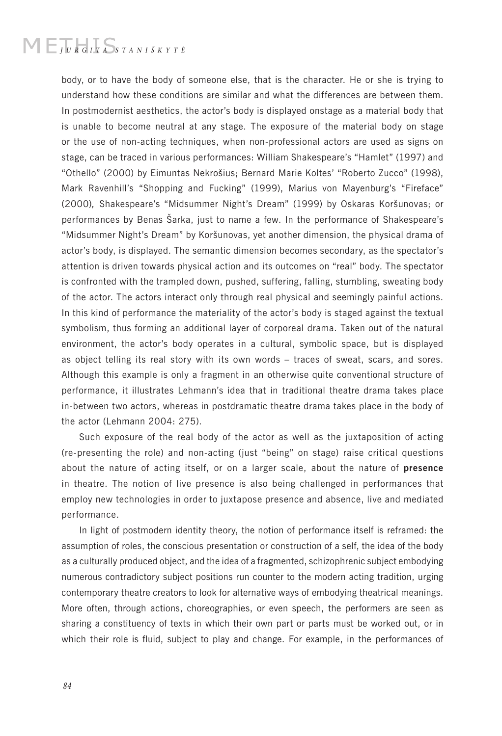# $M \nightharpoonup_{J\cup R} \frac{1}{G} \prod_{I} \sum_{S \text{ T A N I } \check{S} K Y T \check{E}}$

body, or to have the body of someone else, that is the character. He or she is trying to understand how these conditions are similar and what the differences are between them. In postmodernist aesthetics, the actor's body is displayed onstage as a material body that is unable to become neutral at any stage. The exposure of the material body on stage or the use of non-acting techniques, when non-professional actors are used as signs on stage, can be traced in various performances: William Shakespeare's "Hamlet" (1997) and "Othello" (2000) by Eimuntas Nekrošius; Bernard Marie Koltes' "Roberto Zucco" (1998), Mark Ravenhill's "Shopping and Fucking" (1999), Marius von Mayenburg's "Fireface" (2000)*,* Shakespeare's "Midsummer Night's Dream" (1999) by Oskaras Koršunovas; or performances by Benas Šarka, just to name a few. In the performance of Shakespeare's "Midsummer Night's Dream" by Koršunovas, yet another dimension, the physical drama of actor's body, is displayed. The semantic dimension becomes secondary, as the spectator's attention is driven towards physical action and its outcomes on "real" body. The spectator is confronted with the trampled down, pushed, suffering, falling, stumbling, sweating body of the actor. The actors interact only through real physical and seemingly painful actions. In this kind of performance the materiality of the actor's body is staged against the textual symbolism, thus forming an additional layer of corporeal drama. Taken out of the natural environment, the actor's body operates in a cultural, symbolic space, but is displayed as object telling its real story with its own words – traces of sweat, scars, and sores. Although this example is only a fragment in an otherwise quite conventional structure of performance, it illustrates Lehmann's idea that in traditional theatre drama takes place in-between two actors, whereas in postdramatic theatre drama takes place in the body of the actor (Lehmann 2004: 275).

Such exposure of the real body of the actor as well as the juxtaposition of acting (re-presenting the role) and non-acting (just "being" on stage) raise critical questions about the nature of acting itself, or on a larger scale, about the nature of **presence** in theatre. The notion of live presence is also being challenged in performances that employ new technologies in order to juxtapose presence and absence, live and mediated performance.

In light of postmodern identity theory, the notion of performance itself is reframed: the assumption of roles, the conscious presentation or construction of a self, the idea of the body as a culturally produced object, and the idea of a fragmented, schizophrenic subject embodying numerous contradictory subject positions run counter to the modern acting tradition, urging contemporary theatre creators to look for alternative ways of embodying theatrical meanings. More often, through actions, choreographies, or even speech, the performers are seen as sharing a constituency of texts in which their own part or parts must be worked out, or in which their role is fluid, subject to play and change. For example, in the performances of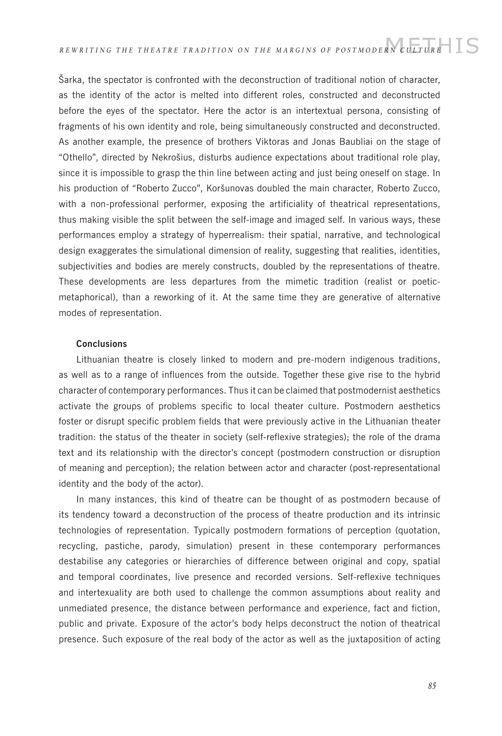Šarka, the spectator is confronted with the deconstruction of traditional notion of character, as the identity of the actor is melted into different roles, constructed and deconstructed before the eyes of the spectator. Here the actor is an intertextual persona, consisting of fragments of his own identity and role, being simultaneously constructed and deconstructed. As another example, the presence of brothers Viktoras and Jonas Baubliai on the stage of "Othello", directed by Nekrošius, disturbs audience expectations about traditional role play, since it is impossible to grasp the thin line between acting and just being oneself on stage. In his production of "Roberto Zucco", Koršunovas doubled the main character, Roberto Zucco, with a non-professional performer, exposing the artificiality of theatrical representations, thus making visible the split between the self-image and imaged self. In various ways, these performances employ a strategy of hyperrealism: their spatial, narrative, and technological design exaggerates the simulational dimension of reality, suggesting that realities, identities, subjectivities and bodies are merely constructs, doubled by the representations of theatre. These developments are less departures from the mimetic tradition (realist or poeticmetaphorical), than a reworking of it. At the same time they are generative of alternative modes of representation.

#### **Conclusions**

Lithuanian theatre is closely linked to modern and pre-modern indigenous traditions, as well as to a range of influences from the outside. Together these give rise to the hybrid character of contemporary performances. Thus it can be claimed that postmodernist aesthetics activate the groups of problems specific to local theater culture. Postmodern aesthetics foster or disrupt specific problem fields that were previously active in the Lithuanian theater tradition: the status of the theater in society (self-reflexive strategies); the role of the drama text and its relationship with the director's concept (postmodern construction or disruption of meaning and perception); the relation between actor and character (post-representational identity and the body of the actor).

In many instances, this kind of theatre can be thought of as postmodern because of its tendency toward a deconstruction of the process of theatre production and its intrinsic technologies of representation. Typically postmodern formations of perception (quotation, recycling, pastiche, parody, simulation) present in these contemporary performances destabilise any categories or hierarchies of difference between original and copy, spatial and temporal coordinates, live presence and recorded versions. Self-reflexive techniques and intertexuality are both used to challenge the common assumptions about reality and unmediated presence, the distance between performance and experience, fact and fiction, public and private. Exposure of the actor's body helps deconstruct the notion of theatrical presence. Such exposure of the real body of the actor as well as the juxtaposition of acting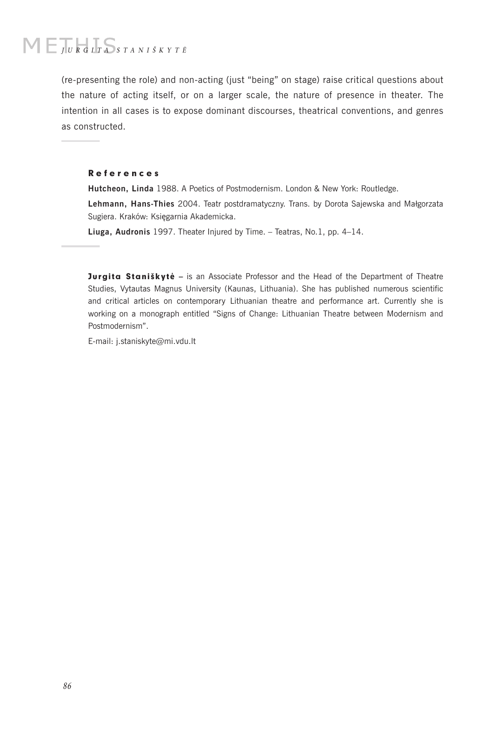# $M \mathsf{E}_{J^U R G I T A S T A N I \check{s} K Y T \check{E}}$

(re-presenting the role) and non-acting (just "being" on stage) raise critical questions about the nature of acting itself, or on a larger scale, the nature of presence in theater. The intention in all cases is to expose dominant discourses, theatrical conventions, and genres as constructed.

#### R e f e r e n c e s

**Hutcheon, Linda** 1988. A Poetics of Postmodernism. London & New York: Routledge. **Lehmann, Hans-Thies** 2004. Teatr postdramatyczny. Trans. by Dorota Sajewska and Małgorzata Sugiera. Kraków: Księgarnia Akademicka.

**Liuga, Audronis** 1997. Theater Injured by Time. – Teatras, No.1, pp. 4–14.

Jurgita Staniškyt**ė –** is an Associate Professor and the Head of the Department of Theatre Studies, Vytautas Magnus University (Kaunas, Lithuania). She has published numerous scientific and critical articles on contemporary Lithuanian theatre and performance art. Currently she is working on a monograph entitled "Signs of Change: Lithuanian Theatre between Modernism and Postmodernism".

E-mail: j.staniskyte@mi.vdu.lt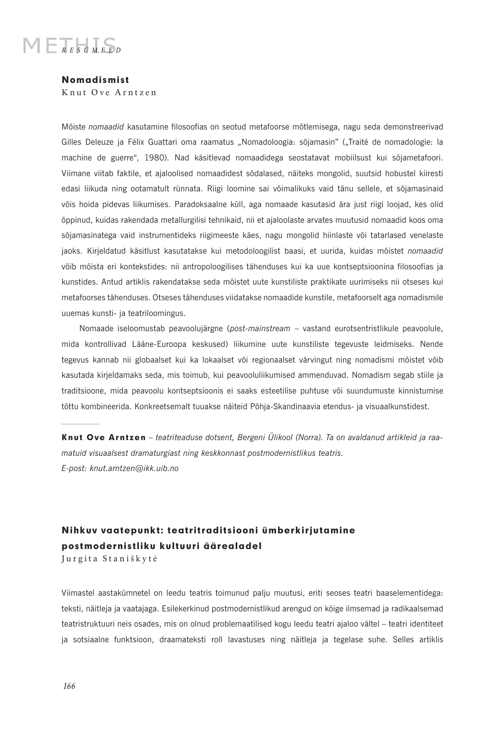### $\bigcap_{R \in S} \bigcup_{\text{R} \in R} \bigcap_{R \in R}$

#### Nomadismist

Knut Ove Arntzen

Mõiste *nomaadid* kasutamine filosoofias on seotud metafoorse mõtlemisega, nagu seda demonstreerivad Gilles Deleuze ja Félix Guattari oma raamatus "Nomadoloogia: sõjamasin" ("Traité de nomadologie: la machine de guerre", 1980). Nad käsitlevad nomaadidega seostatavat mobiilsust kui sõjametafoori. Viimane viitab faktile, et ajaloolised nomaadidest sõdalased, näiteks mongolid, suutsid hobustel kiiresti edasi liikuda ning ootamatult rünnata. Riigi loomine sai võimalikuks vaid tänu sellele, et sõjamasinaid võis hoida pidevas liikumises. Paradoksaalne küll, aga nomaade kasutasid ära just riigi loojad, kes olid õppinud, kuidas rakendada metallurgilisi tehnikaid, nii et ajaloolaste arvates muutusid nomaadid koos oma sõjamasinatega vaid instrumentideks riigimeeste käes, nagu mongolid hiinlaste või tatarlased venelaste jaoks. Kirjeldatud käsitlust kasutatakse kui metodoloogilist baasi, et uurida, kuidas mõistet *nomaadid*  võib mõista eri kontekstides: nii antropoloogilises tähenduses kui ka uue kontseptsioonina filosoofias ja kunstides. Antud artiklis rakendatakse seda mõistet uute kunstiliste praktikate uurimiseks nii otseses kui metafoorses tähenduses. Otseses tähenduses viidatakse nomaadide kunstile, metafoorselt aga nomadismile uuemas kunsti- ja teatriloomingus.

Nomaade iseloomustab peavoolujärgne (*post-mainstream* – vastand eurotsentristlikule peavoolule, mida kontrollivad Lääne-Euroopa keskused) liikumine uute kunstiliste tegevuste leidmiseks. Nende tegevus kannab nii globaalset kui ka lokaalset või regionaalset värvingut ning nomadismi mõistet võib kasutada kirjeldamaks seda, mis toimub, kui peavooluliikumised ammenduvad. Nomadism segab stiile ja traditsioone, mida peavoolu kontseptsioonis ei saaks esteetilise puhtuse või suundumuste kinnistumise tõttu kombineerida. Konkreetsemalt tuuakse näiteid Põhja-Skandinaavia etendus- ja visuaalkunstidest.

Knut Ove Arntzen *– teatriteaduse dotsent, Bergeni Ülikool (Norra). Ta on avaldanud artikleid ja raamatuid visuaalsest dramaturgiast ning keskkonnast postmodernistlikus teatris. E-post: knut.arntzen@ikk.uib.no*

### Nihkuv vaatepunkt: teatritraditsiooni ümberkirjutamine postmodernistliku kultuuri äärealadel

Jurgita Staniškytė

Viimastel aastakümnetel on leedu teatris toimunud palju muutusi, eriti seoses teatri baaselementidega: teksti, näitleja ja vaatajaga. Esilekerkinud postmodernistlikud arengud on kõige ilmsemad ja radikaalsemad teatristruktuuri neis osades, mis on olnud problemaatilised kogu leedu teatri ajaloo vältel – teatri identiteet ja sotsiaalne funktsioon, draamateksti roll lavastuses ning näitleja ja tegelase suhe. Selles artiklis